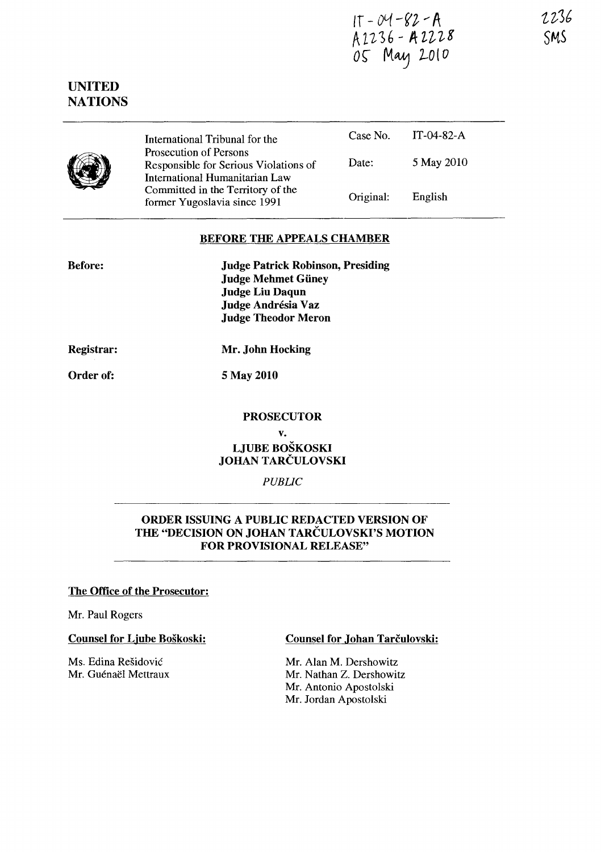$1T - 04 - 82 - A$  $R_{LL}$ 36 - ALLUO  $05$  May 2010

# UNITED NATIONS

|  | International Tribunal for the<br>Prosecution of Persons<br>Responsible for Serious Violations of<br>International Humanitarian Law<br>Committed in the Territory of the<br>former Yugoslavia since 1991 |           | Case No. $IT-04-82-A$ |
|--|----------------------------------------------------------------------------------------------------------------------------------------------------------------------------------------------------------|-----------|-----------------------|
|  |                                                                                                                                                                                                          | Date:     | 5 May 2010            |
|  |                                                                                                                                                                                                          | Original: | English               |

### BEFORE THE APPEALS CHAMBER

| <b>Before:</b> | <b>Judge Patrick Robinson, Presiding</b> |
|----------------|------------------------------------------|
|                | <b>Judge Mehmet Güney</b>                |
|                | <b>Judge Liu Daqun</b>                   |
|                | Judge Andrésia Vaz                       |
|                | <b>Judge Theodor Meron</b>               |
|                |                                          |

Registrar:

Mr. John Hocking

5 May 2010

# Order of:

# PROSECUTOR

v. LJUBE BOSKOSKI JOHAN TARČULOVSKI

*PUBLIC* 

# ORDER ISSUING A PUBLIC REDACTED VERSION OF THE "DECISION ON JOHAN TARCULOVSKI'S MOTION FOR PROVISIONAL RELEASE"

### The Office of the Prosecutor:

Mr. Paul Rogers

Counsel for Ljube Boškoski:

Ms. Edina Residovic Mr. Guénaël Mettraux Counsel for Johan Tarčulovski:

Mr. Alan M. Dershowitz Mr. Nathan Z. Dershowitz Mr. Antonio Apostolski Mr. Jordan Apostolski

t~3b SMS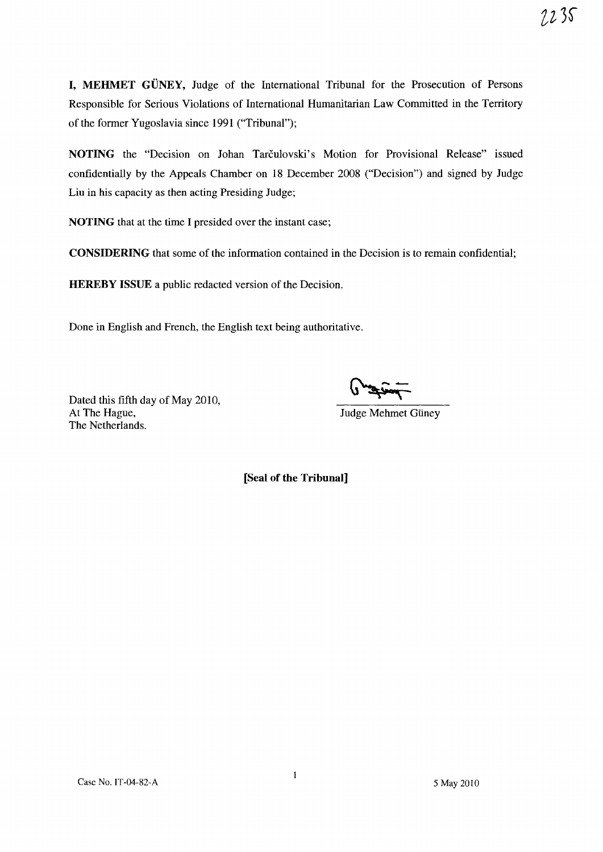$2235$ 

I, MEHMET GÜNEY, Judge of the International Tribunal for the Prosecution of Persons Responsible for Serious Violations of International Humanitarian Law Committed in the Territory of the former Yugoslavia since 1991 ("Tribunal");

NOTING the "Decision on Johan Tarculovski's Motion for Provisional Release" issued confidentially by the Appeals Chamber on 18 December 2008 ("Decision") and signed by Judge Liu in his capacity as then acting Presiding Judge;

NOTING that at the time I presided over the instant case;

CONSIDERING that some of the information contained in the Decision is to remain confidential;

HEREBY ISSUE a public redacted version of the Decision.

Done in English and French, the English text being authoritative.

Dated this fifth day of May 2010,<br>At The Hague, The Netherlands.

 $\frac{1}{\sqrt{2\pi}}$ 

Judge Mehmet Güney

[Seal of the Tribunal]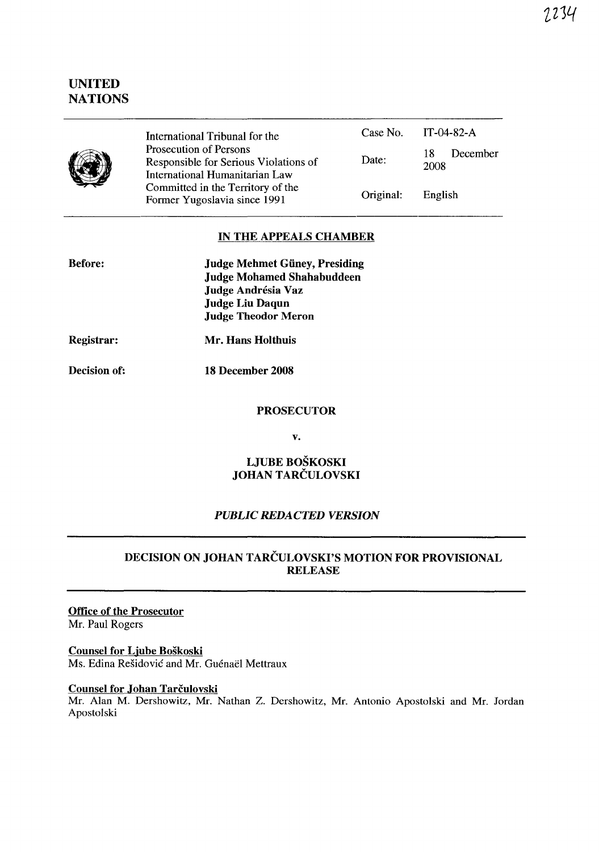# UNITED **NATIONS**



International Tribunal for the Prosecution of Persons Responsible for Serious Violations of International Humanitarian Law Committed in the Territory of the Former Yugoslavia since 1991 Case No. Date: Original: IT-04-82-A 18 December 2008 English

### IN THE APPEALS CHAMBER

| <b>Before:</b> | <b>Judge Mehmet Güney, Presiding</b> |
|----------------|--------------------------------------|
|                | <b>Judge Mohamed Shahabuddeen</b>    |
|                | Judge Andrésia Vaz                   |
|                | <b>Judge Liu Daqun</b>               |
|                | <b>Judge Theodor Meron</b>           |
|                |                                      |

Registrar: Mr. Hans Holthuis

Decision of:

18 December 2008

#### **PROSECUTOR**

v.

### LJUBE BOSKOSKI JOHAN TARCULOVSKI

### *PUBLIC REDACTED VERSION*

# DECISION ON JOHAN TARCULOVSKI'S MOTION FOR PROVISIONAL RELEASE

#### Office of the Prosecutor Mr. Paul Rogers

#### Counsel for Ljube Boskoski Ms. Edina Rešidović and Mr. Guénaël Mettraux

#### Counsel for Johan Tarčulovski

Mr. Alan M. Dershowitz, Mr. Nathan Z. Dershowitz, Mr. Antonio Apostolski and Mr. Jordan Apostolski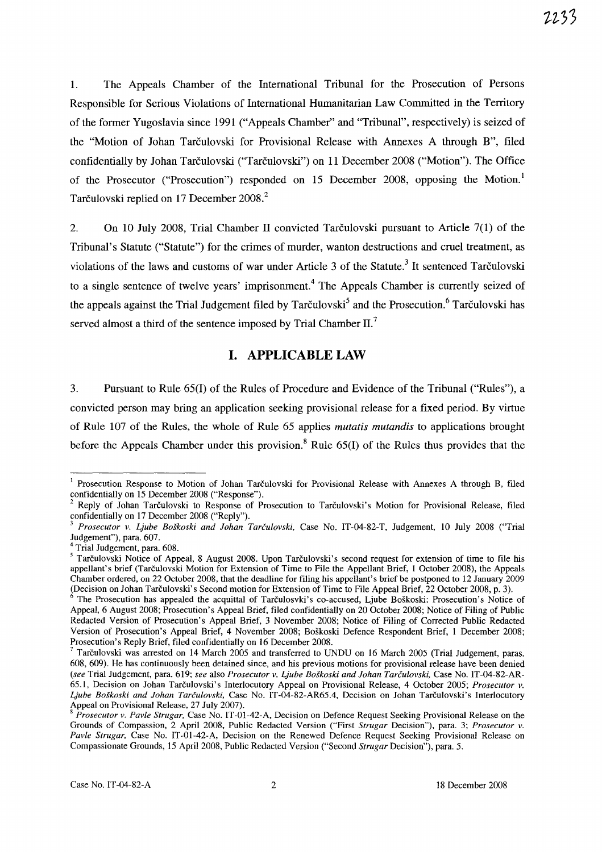1. The Appeals Chamber of the International Tribunal for the Prosecution of Persons Responsible for Serious Violations of International Humanitarian Law Committed in the Territory of the former Yugoslavia since 1991 ("Appeals Chamber" and "Tribunal", respectively) is seized of the "Motion of Johan Tarculovski for Provisional Release with Annexes A through B", filed confidentially by Johan Tarčulovski ("Tarčulovski") on 11 December 2008 ("Motion"). The Office of the Prosecutor ("Prosecution") responded on 15 December 2008, opposing the Motion.! Tarčulovski replied on 17 December 2008.<sup>2</sup>

2. On 10 July 2008, Trial Chamber 11 convicted Tarculovski pursuant to Article 7(1) of the Tribunal's Statute ("Statute") for the crimes of murder, wanton destructions and cruel treatment, as violations of the laws and customs of war under Article 3 of the Statute.<sup>3</sup> It sentenced Tarčulovski to a single sentence of twelve years' imprisonment.<sup>4</sup> The Appeals Chamber is currently seized of the appeals against the Trial Judgement filed by Tarculovski<sup>5</sup> and the Prosecution.<sup>6</sup> Tarculovski has served almost a third of the sentence imposed by Trial Chamber  $II$ .

# **I. APPLICABLE LAW**

3. Pursuant to Rule 65(1) of the Rules of Procedure and Evidence of the Tribunal ("Rules"), a convicted person may bring an application seeking provisional release for a fixed period. By virtue of Rule 107 of the Rules, the whole of Rule 65 applies *mutatis mutandis* to applications brought before the Appeals Chamber under this provision.<sup>8</sup> Rule  $65(I)$  of the Rules thus provides that the

<sup>&</sup>lt;sup>1</sup> Prosecution Response to Motion of Johan Tarčulovski for Provisional Release with Annexes A through B, filed confidentially on 15 December 2008 ("Response").

<sup>2</sup> Reply of Johan Tarculovski to Response of Prosecution to Tarculovski's Motion for Provisional Release, filed confidentially on 17 December 2008 ("Reply").

*<sup>3</sup> Prosecutor v. Ljube Boskoski and lohan Tarculovski,* Case No. IT-04-82-T, Judgement, 10 July 2008 ("Trial Judgement"), para. 607.

<sup>4</sup> Trial Judgement, para. 608.

<sup>&</sup>lt;sup>5</sup> Tarčulovski Notice of Appeal, 8 August 2008. Upon Tarčulovski's second request for extension of time to file his appellant's brief (Tarculovski Motion for Extension of Time to File the Appellant Brief, 1 October 2008), the Appeals Chamber ordered, on 22 October 2008, that the deadline for filing his appellant's brief be postponed to 12 January 2009 (Decision on Johan Tarculovski's Second motion for Extension of Time to File Appeal Brief, 22 October 2008, p. 3).

The Prosecution has appealed the acquittal of Tarculosvki's co-accused, Ljube Boškoski: Prosecution's Notice of Appeal, 6 August 2008; Prosecution's Appeal Brief, filed confidentially on 20 October 2008; Notice of Filing of Public Redacted Version of Prosecution's Appeal Brief, 3 November 2008; Notice of Filing of Corrected Public Redacted Version of Prosecution's Appeal Brief, 4 November 2008; Boskoski Defence Respondent Brief, 1 December 2008; Prosecution's Reply Brief, filed confidentially on 16 December 2008.

<sup>7</sup>Tarculovski was arrested on 14 March 2005 and transferred to UNDU on 16 March 2005 (Trial Judgement, paras. 608, 609). He has continuously been detained since, and his previous motions for provisional release have been denied *(see* Trial Judgement, para. 619; *see* also *Prosecutor v. Ljube Boskoski and lohan Tarculovski,* Case No. IT-04-82-AR-65.1, Decision on Johan Tarculovski's Interlocutory Appeal on Provisional Release, 4 October 2005; *Prosecutor v. Ljube Boskoski and lohan Tarculovski,* Case No. IT-04-82-AR65.4, Decision on Johan Tarculovski's Interlocutory Appeal on Provisional Release, 27 July 2007).

<sup>8</sup>*Prosecutor v. Pavle Strugar,* Case No. IT-0l-42-A, Decision on Defence Request Seeking Provisional Release on the Grounds of Compassion, 2 April 2008, Public Redacted Version ("First *Strugar* Decision"), para. 3; *Prosecutor v. Pavle Strugar,* Case No. IT-01-42-A, Decision on the Renewed Defence Request Seeking Provisional Release on Compassionate Grounds, 15 April 2008, Public Redacted Version ("Second *Strugar* Decision"), para. 5.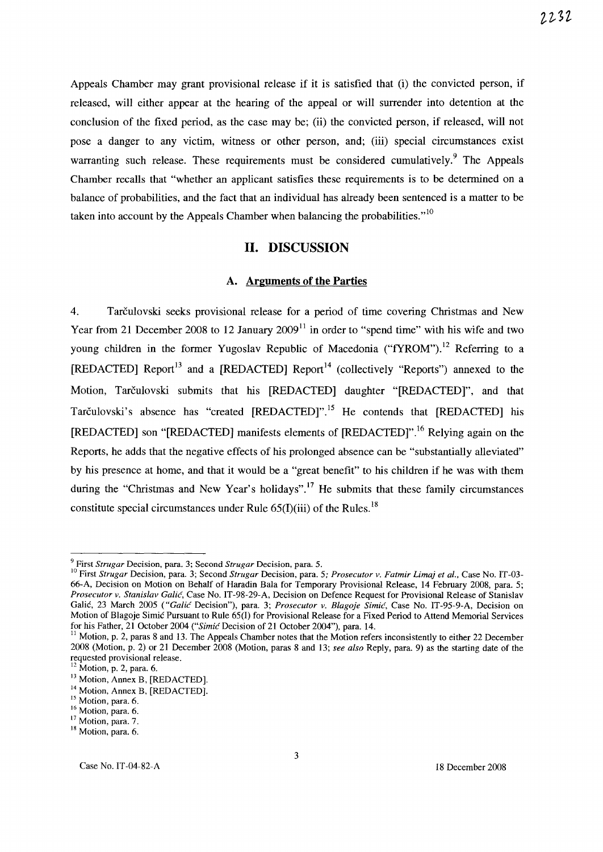Appeals Chamber may grant provisional release if it is satisfied that (i) the convicted person, if released, will either appear at the hearing of the appeal or will surrender into detention at the conclusion of the fixed period, as the case may be; (ii) the convicted person, if released, will not pose a danger to any victim, witness or other person, and; (iii) special circumstances exist warranting such release. These requirements must be considered cumulatively.<sup>9</sup> The Appeals Chamber recalls that "whether an applicant satisfies these requirements is to be determined on a balance of probabilities, and the fact that an individual has already been sentenced is a matter to be taken into account by the Appeals Chamber when balancing the probabilities." $10$ 

#### **11. DISCUSSION**

#### **A. Arguments of the Parties**

4. Tarculovski seeks provisional release for a period of time covering Christmas and New Year from 21 December 2008 to 12 January  $2009<sup>11</sup>$  in order to "spend time" with his wife and two young children in the former Yugoslav Republic of Macedonia ("fYROM").<sup>12</sup> Referring to a [REDACTED] Report<sup>13</sup> and a [REDACTED] Report<sup>14</sup> (collectively "Reports") annexed to the Motion, Tarčulovski submits that his [REDACTED] daughter "[REDACTED]", and that Tarčulovski's absence has "created [REDACTED]".<sup>15</sup> He contends that [REDACTED] his [REDACTED] son "[REDACTED] manifests elements of [REDACTED]".16 Relying again on the Reports, he adds that the negative effects of his prolonged absence can be "substantially alleviated" by his presence at home, and that it would be a "great benefit" to his children if he was with them during the "Christmas and New Year's holidays".<sup>17</sup> He submits that these family circumstances constitute special circumstances under Rule  $65(I)(iii)$  of the Rules.<sup>18</sup>

<sup>9</sup> First *Strugar* Decision, para. 3; Second *Strugar* Decision, para. 5.

<sup>&</sup>lt;sup>10</sup> First *Strugar Decision, para.* 3; Second *Strugar Decision, para. 5; Prosecutor v. Fatmir Limaj et al., Case No. IT-03-*66-A, Decision on Motion on Behalf of Haradin Bala for Temporary Provisional Release, 14 February 2008, para. 5; *Prosecutor v. Stanislav Calic,* Case No. IT -98-29-A, Decision on Defence Request for Provisional Release of Stanislav Galic, 23 March 2005 *("Calic* Decision"), para. 3; *Prosecutor v. Blagoje Simic,* Case No. IT-95-9-A, Decision on Motion of BJagoje Simic Pursuant to Rule 65(I) for Provisional Release for a Fixed Period to Attend Memorial Services for his Father, 21 October 2004 *("Simic* Decision of 21 October 2004"), para. 14.

 $11$  Motion, p. 2, paras 8 and 13. The Appeals Chamber notes that the Motion refers inconsistently to either 22 December 2008 (Motion, p. 2) or 21 December 2008 (Motion, paras 8 and 13; *see also* Reply, para. 9) as the starting date of the requested provisional release.

 $12$  Motion, p. 2, para. 6.

<sup>&</sup>lt;sup>13</sup> Motion, Annex B, [REDACTED].

<sup>&</sup>lt;sup>14</sup> Motion, Annex B, [REDACTED].

<sup>&</sup>lt;sup>15</sup> Motion, para. 6.

<sup>&</sup>lt;sup>16</sup> Motion, para. 6.

<sup>&</sup>lt;sup>17</sup> Motion, para. 7.

<sup>&</sup>lt;sup>18</sup> Motion, para. 6.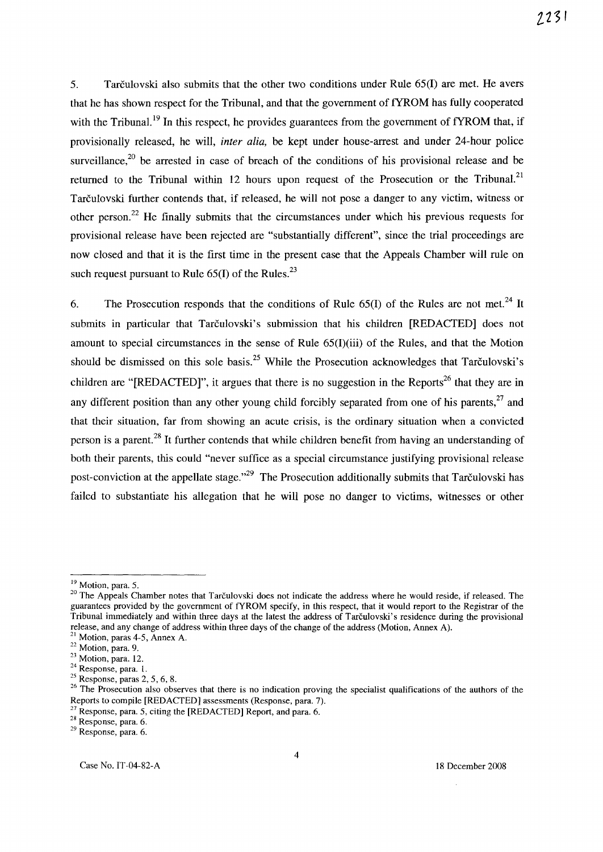5. Tarculovski also submits that the other two conditions under Rule 65(1) are met. He avers that he has shown respect for the Tribunal, and that the government of fYROM has fully cooperated with the Tribunal.<sup>19</sup> In this respect, he provides guarantees from the government of fYROM that, if provisionally released, he will, *inter alia,* be kept under house-arrest and under 24-hour police surveillance,<sup>20</sup> be arrested in case of breach of the conditions of his provisional release and be returned to the Tribunal within 12 hours upon request of the Prosecution or the Tribunal.<sup>21</sup> Tarculovski further contends that, if released, he will not pose a danger to any victim, witness or other person.<sup>22</sup> He finally submits that the circumstances under which his previous requests for provisional release have been rejected are "substantially different", since the trial proceedings are now closed and that it is the first time in the present case that the Appeals Chamber will rule on such request pursuant to Rule  $65(1)$  of the Rules.<sup>23</sup>

6. The Prosecution responds that the conditions of Rule  $65(I)$  of the Rules are not met.<sup>24</sup> It submits in particular that Tarčulovski's submission that his children [REDACTED] does not amount to special circumstances in the sense of Rule 65(1)(iii) of the Rules, and that the Motion should be dismissed on this sole basis.<sup>25</sup> While the Prosecution acknowledges that Tarculovski's children are "[REDACTED]", it argues that there is no suggestion in the Reports<sup>26</sup> that they are in any different position than any other young child forcibly separated from one of his parents.<sup>27</sup> and that their situation, far from showing an acute crisis, is the ordinary situation when a convicted person is a parent. 28 It further contends that while children benefit from having an understanding of both their parents, this could "never suffice as a special circumstance justifying provisional release post-conviction at the appellate stage.<sup>129</sup> The Prosecution additionally submits that Tarculovski has failed to substantiate his allegation that he will pose no danger to victims, witnesses or other

<sup>&</sup>lt;sup>19</sup> Motion, para. 5.

<sup>&</sup>lt;sup>20</sup> The Appeals Chamber notes that Tarčulovski does not indicate the address where he would reside, if released. The guarantees provided by the government of fYROM specify, in this respect, that it would report to the Registrar of the Tribunal immediately and within three days at the latest the address of Tarculovski's residence during the provisional release, and any change of address within three days of the change of the address (Motion, Annex A).

 $<sup>1</sup>$  Motion, paras 4-5, Annex A.</sup>

<sup>&</sup>lt;sup>22</sup> Motion, para. 9.

<sup>&</sup>lt;sup>23</sup> Motion, para. 12.

<sup>24</sup> Response, para. I.

 $25$  Response, paras 2, 5, 6, 8.

<sup>&</sup>lt;sup>26</sup> The Prosecution also observes that there is no indication proving the specialist qualifications of the authors of the Reports to compile [REDACTED] assessments (Response, para. 7).

 $27$  Response, para. 5, citing the [REDACTED] Report, and para. 6.

<sup>28</sup> Response, para. 6.

<sup>29</sup> Response, para. 6.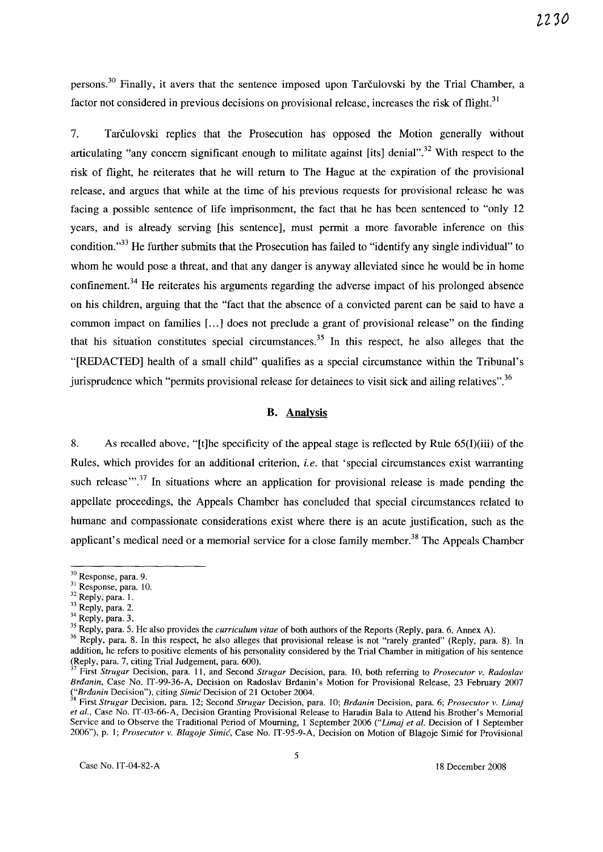persons.30 Finally, it avers that the sentence imposed upon Tarculovski by the Trial Chamber, a factor not considered in previous decisions on provisional release, increases the risk of flight.<sup>31</sup>

7. Tarculovski replies that the Prosecution has opposed the Motion generally without articulating "any concern significant enough to militate against [its] denial".<sup>32</sup> With respect to the risk of flight, he reiterates that he will return to The Hague at the expiration of the provisional release, and argues that while at the time of his previous requests for provisional release he was facing a possible sentence of life imprisonment, the fact that he has been sentenced to "only 12 years, and is already serving [his sentence], must permit a more favorable inference on this condition."<sup>33</sup> He further submits that the Prosecution has failed to "identify any single individual" to whom he would pose a threat, and that any danger is anyway alleviated since he would be in home confinement.<sup>34</sup> He reiterates his arguments regarding the adverse impact of his prolonged absence on his children, arguing that the "fact that the absence of a convicted parent can be said to have a common impact on families [...] does not preclude a grant of provisional release" on the finding that his situation constitutes special circumstances.<sup>35</sup> In this respect, he also alleges that the "[REDACTED] health of a small child" qualifies as a special circumstance within the Tribunal's jurisprudence which "permits provisional release for detainees to visit sick and ailing relatives".<sup>36</sup>

#### B. Analysis

8. As recalled above, "[t]he specificity of the appeal stage is reflected by Rule 65(I)(iii) of the Rules, which provides for an additional criterion, *i.e.* that 'special circumstances exist warranting such release".<sup>37</sup> In situations where an application for provisional release is made pending the appellate proceedings, the Appeals Chamber has concluded that special circumstances related to humane and compassionate considerations exist where there is an acute justification, such as the applicant's medical need or a memorial service for a close family member.<sup>38</sup> The Appeals Chamber

<sup>30</sup> Response, para. 9.

<sup>&</sup>lt;sup>31</sup> Response, para. 10.

 $32$  Reply, para. 1.

 $33$  Reply, para. 2.

<sup>&</sup>lt;sup>34</sup> Reply, para. 3.

<sup>35</sup> Reply, para. 5. He also provides the *curriculum vitae* of both authors of the Reports (Reply, para. 6, Annex A).

<sup>&</sup>lt;sup>36</sup> Reply, para. 8. In this respect, he also alleges that provisional release is not "rarely granted" (Reply, para. 8). In addition, he refers to positive elements of his personality considered by the Trial Chamber in mitigation of his sentence (Reply, para. 7, citing Trial Judgement, para. 600).<br> $37 \text{ First}$  Structure of  $\sum_{n=1}^{\infty}$ .

<sup>37</sup> First *Strugar* Decision, para. 11, and Second *Strugar* Decision, para. 10, both referring to *Prosecutor v. Radoslav Brdanin,* Case No. IT-99-36-A, Decision on Radoslav Brdanin's Motion for Provisional Release, 23 February 2007 *("Brdanin* Decision"), citing *Simic* Decision of 21 October 2004.

<sup>38</sup> First *Strugar* Decision, para. 12; Second *Strugar* Decision, para. 10; *Brdanin* Decision, para. 6; *Prosecutor v. Limaj et al.,* Case No. IT-03-66-A, Decision Granting Provisional Release to Haradin Bala to Attend his Brother's Memorial Service and to Observe the Traditional Period of Mourning, 1 September 2006 *("Limaj et al.* Decision of 1 September 2006"), p. I; *Prosecutor v. Blagoje Simic,* Case No. IT -95-9-A, Decision on Motion of Blagoje Simic for Provisional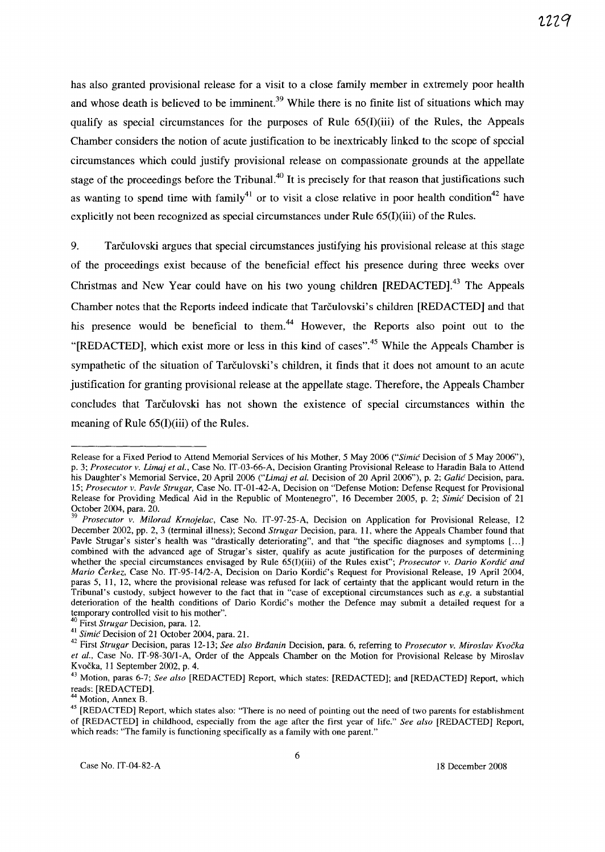has also granted provisional release for a visit to a close family member in extremely poor health and whose death is believed to be imminent.<sup>39</sup> While there is no finite list of situations which may qualify as special circumstances for the purposes of Rule 65(I)(iii) of the Rules, the Appeals Chamber considers the notion of acute justification to be inextricably linked to the scope of special circumstances which could justify provisional release on compassionate grounds at the appellate stage of the proceedings before the Tribunal.<sup>40</sup> It is precisely for that reason that justifications such as wanting to spend time with family<sup>41</sup> or to visit a close relative in poor health condition<sup>42</sup> have explicitly not been recognized as special circumstances under Rule 65(1)(iii) of the Rules.

9. Tarculovski argues that special circumstances justifying his provisional release at this stage of the proceedings exist because of the beneficial effect his presence during three weeks over Christmas and New Year could have on his two young children [REDACTED].<sup>43</sup> The Appeals Chamber notes that the Reports indeed indicate that Tarculovski's children [REDACTED] and that his presence would be beneficial to them.<sup>44</sup> However, the Reports also point out to the "[REDACTED], which exist more or less in this kind of cases".<sup>45</sup> While the Appeals Chamber is sympathetic of the situation of Tarčulovski's children, it finds that it does not amount to an acute justification for granting provisional release at the appellate stage. Therefore, the Appeals Chamber concludes that Tarculovski has not shown the existence of special circumstances within the meaning of Rule 65(I)(iii) of the Rules.

Release for a Fixed Period to Attend Memorial Services of his Mother, 5 May 2006 *("Simic* Decision of 5 May 2006"), p. 3; Prosecutor v. Limaj et al., Case No. IT-03-66-A, Decision Granting Provisional Release to Haradin Bala to Attend his Daughter's Memorial Service, 20 April 2006 ("Limaj et al. Decision of 20 April 2006"), p. 2; *Galić* Decision, para. *15; Prosecutor v. Pavle Strugar,* Case No. IT-01-42-A, Decision on "Defense Motion: Defense Request for Provisional Release for Providing Medical Aid in the Republic of Montenegro", 16 December 2005, p. 2; *Simic* Decision of 21 October 2004, para. 20.

*<sup>39</sup> Prosecutor v. Milorad Krnojelac,* Case No. IT-97-25-A, Decision on Application for Provisional Release, 12 December 2002, pp. 2, 3 (terminal illness); Second *Strugar* Decision, para. 11, where the Appeals Chamber found that Pavle Strugar's sister's health was "drastically deteriorating", and that "the specific diagnoses and symptoms [...] combined with the advanced age of Strugar's sister, qualify as acute justification for the purposes of determining whether the special circumstances envisaged by Rule 65(I)(iii) of the Rules exist"; *Prosecutor v. Dario Kordic and Mario Čerkez*, Case No. IT-95-14/2-A, Decision on Dario Kordic's Request for Provisional Release, 19 April 2004, paras 5, 11, 12, where the provisional release was refused for lack of certainty that the applicant would return in the Tribunal's custody, subject however to the fact that in "case of exceptional circumstances such as *e.g.* a substantial deterioration of the health conditions of Dario Kordic's mother the Defence may submit a detailed request for a temporary controlled visit to his mother".

<sup>40</sup> First *Strugar* Decision, para. 12.

<sup>41</sup>*Simic* Decision of 21 October 2004, para. 21.

<sup>42</sup>First *Strugar* Decision, paras 12-13; *See also Brdanin* Decision, para. 6, referring to *Prosecutor v. Miroslav Kvocka*  et al., Case No. IT-98-30/1-A, Order of the Appeals Chamber on the Motion for Provisional Release by Miroslav K vocka, 11 September 2002, p. 4.

<sup>43</sup> Motion, paras 6-7; *See also* [REDACTED] Report, which states: [REDACTED]; and [REDACTED] Report, which reads: [REDACTED].

Motion, Annex B.

<sup>&</sup>lt;sup>45</sup> [REDACTED] Report, which states also: "There is no need of pointing out the need of two parents for establishment of [REDACTED] in childhood, especially from the age after the first year of life." *See also* [REDACTED] Report, which reads: "The family is functioning specifically as a family with one parent."